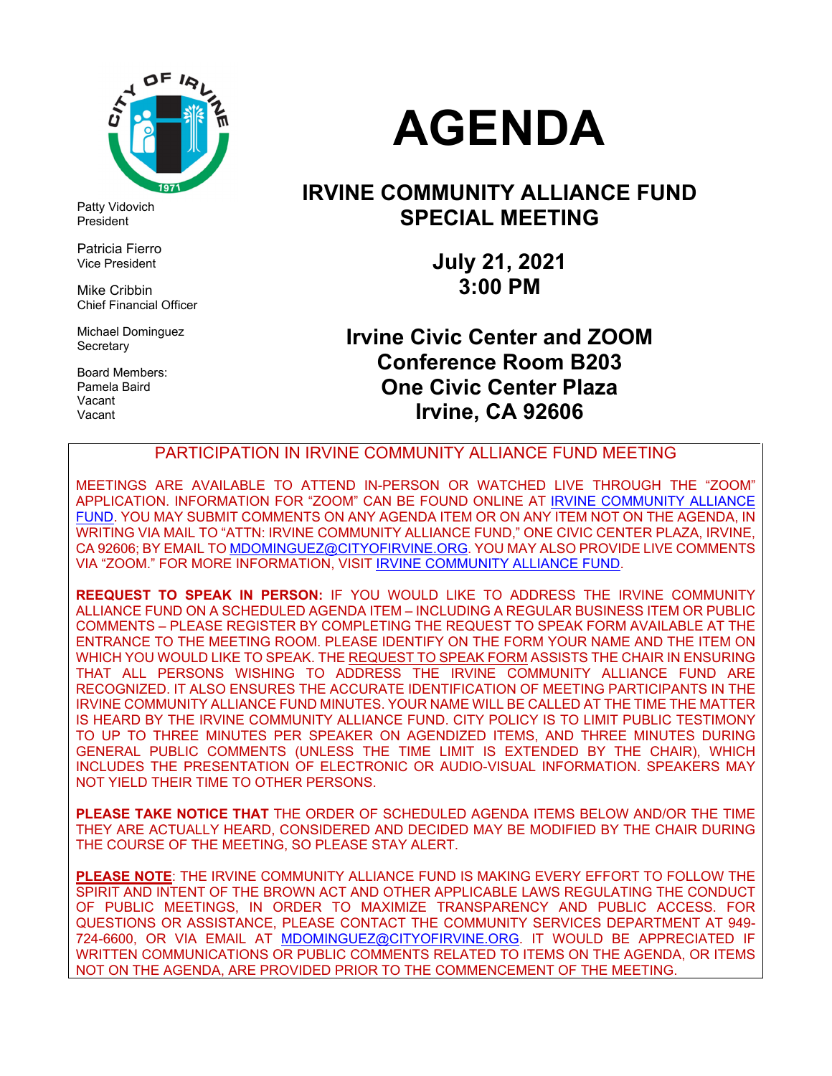

Patty Vidovich President

Patricia Fierro Vice President

Mike Cribbin Chief Financial Officer

Michael Dominguez **Secretary** 

Board Members: Pamela Baird Vacant Vacant

# **AGENDA**

### **IRVINE COMMUNITY ALLIANCE FUND SPECIAL MEETING**

**July 21, 2021 3:00 PM** 

**Irvine Civic Center and ZOOM Conference Room B203 One Civic Center Plaza Irvine, CA 92606** 

PARTICIPATION IN IRVINE COMMUNITY ALLIANCE FUND MEETING

MEETINGS ARE AVAILABLE TO ATTEND IN-PERSON OR WATCHED LIVE THROUGH THE "ZOOM" APPLICATION. INFORMATION FOR "ZOOM" CAN BE FOUND ONLINE AT IRVINE COMMUNITY ALLIANCE FUND. YOU MAY SUBMIT COMMENTS ON ANY AGENDA ITEM OR ON ANY ITEM NOT ON THE AGENDA, IN WRITING VIA MAIL TO "ATTN: IRVINE COMMUNITY ALLIANCE FUND," ONE CIVIC CENTER PLAZA, IRVINE, CA 92606; BY EMAIL TO MDOMINGUEZ@CITYOFIRVINE.ORG. YOU MAY ALSO PROVIDE LIVE COMMENTS VIA "ZOOM." FOR MORE INFORMATION, VISIT IRVINE COMMUNITY ALLIANCE FUND.

**REEQUEST TO SPEAK IN PERSON:** IF YOU WOULD LIKE TO ADDRESS THE IRVINE COMMUNITY ALLIANCE FUND ON A SCHEDULED AGENDA ITEM – INCLUDING A REGULAR BUSINESS ITEM OR PUBLIC COMMENTS – PLEASE REGISTER BY COMPLETING THE REQUEST TO SPEAK FORM AVAILABLE AT THE ENTRANCE TO THE MEETING ROOM. PLEASE IDENTIFY ON THE FORM YOUR NAME AND THE ITEM ON WHICH YOU WOULD LIKE TO SPEAK. THE REQUEST TO SPEAK FORM ASSISTS THE CHAIR IN ENSURING THAT ALL PERSONS WISHING TO ADDRESS THE IRVINE COMMUNITY ALLIANCE FUND ARE RECOGNIZED. IT ALSO ENSURES THE ACCURATE IDENTIFICATION OF MEETING PARTICIPANTS IN THE IRVINE COMMUNITY ALLIANCE FUND MINUTES. YOUR NAME WILL BE CALLED AT THE TIME THE MATTER IS HEARD BY THE IRVINE COMMUNITY ALLIANCE FUND. CITY POLICY IS TO LIMIT PUBLIC TESTIMONY TO UP TO THREE MINUTES PER SPEAKER ON AGENDIZED ITEMS, AND THREE MINUTES DURING GENERAL PUBLIC COMMENTS (UNLESS THE TIME LIMIT IS EXTENDED BY THE CHAIR), WHICH INCLUDES THE PRESENTATION OF ELECTRONIC OR AUDIO-VISUAL INFORMATION. SPEAKERS MAY NOT YIELD THEIR TIME TO OTHER PERSONS.

**PLEASE TAKE NOTICE THAT** THE ORDER OF SCHEDULED AGENDA ITEMS BELOW AND/OR THE TIME THEY ARE ACTUALLY HEARD, CONSIDERED AND DECIDED MAY BE MODIFIED BY THE CHAIR DURING THE COURSE OF THE MEETING, SO PLEASE STAY ALERT.

**PLEASE NOTE**: THE IRVINE COMMUNITY ALLIANCE FUND IS MAKING EVERY EFFORT TO FOLLOW THE SPIRIT AND INTENT OF THE BROWN ACT AND OTHER APPLICABLE LAWS REGULATING THE CONDUCT OF PUBLIC MEETINGS, IN ORDER TO MAXIMIZE TRANSPARENCY AND PUBLIC ACCESS. FOR QUESTIONS OR ASSISTANCE, PLEASE CONTACT THE COMMUNITY SERVICES DEPARTMENT AT 949- 724-6600, OR VIA EMAIL AT MDOMINGUEZ@CITYOFIRVINE.ORG. IT WOULD BE APPRECIATED IF WRITTEN COMMUNICATIONS OR PUBLIC COMMENTS RELATED TO ITEMS ON THE AGENDA, OR ITEMS NOT ON THE AGENDA, ARE PROVIDED PRIOR TO THE COMMENCEMENT OF THE MEETING.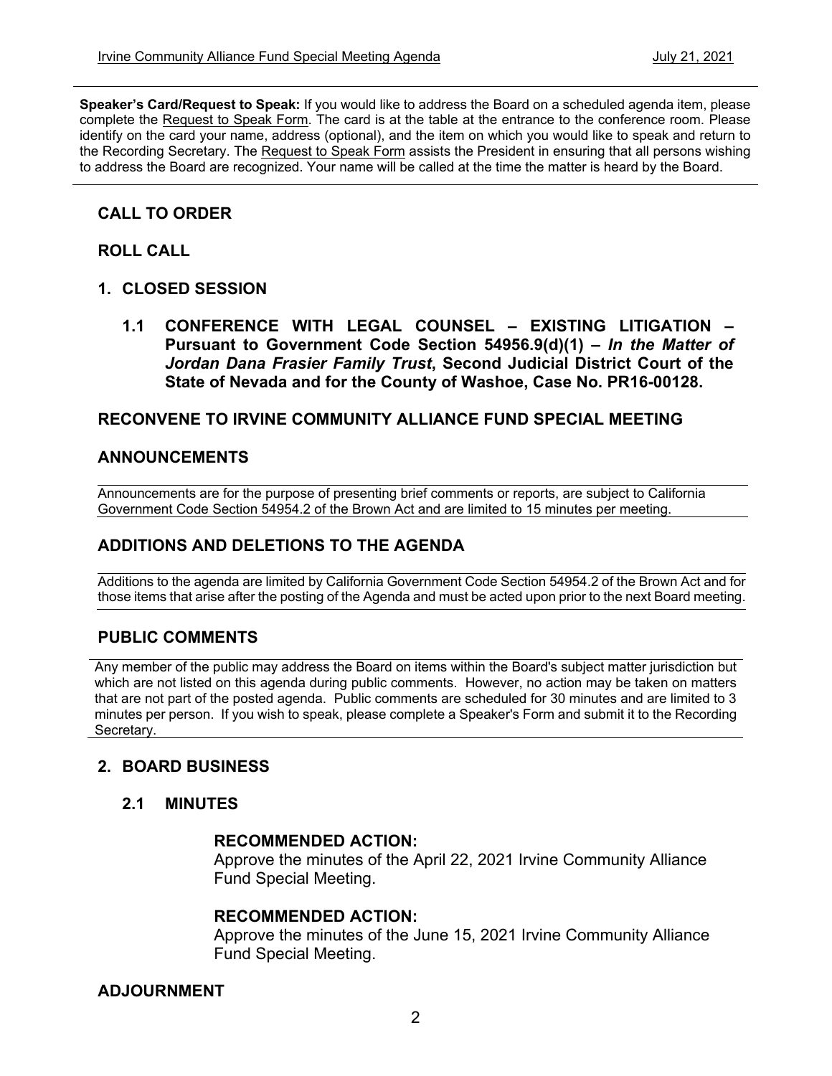**Speaker's Card/Request to Speak:** If you would like to address the Board on a scheduled agenda item, please complete the Request to Speak Form. The card is at the table at the entrance to the conference room. Please identify on the card your name, address (optional), and the item on which you would like to speak and return to the Recording Secretary. The Request to Speak Form assists the President in ensuring that all persons wishing to address the Board are recognized. Your name will be called at the time the matter is heard by the Board.

#### **CALL TO ORDER**

#### **ROLL CALL**

- **1. CLOSED SESSION** 
	- **1.1 CONFERENCE WITH LEGAL COUNSEL EXISTING LITIGATION Pursuant to Government Code Section 54956.9(d)(1) –** *In the Matter of Jordan Dana Frasier Family Trust***, Second Judicial District Court of the State of Nevada and for the County of Washoe, Case No. PR16-00128.**

#### **RECONVENE TO IRVINE COMMUNITY ALLIANCE FUND SPECIAL MEETING**

#### **ANNOUNCEMENTS**

Announcements are for the purpose of presenting brief comments or reports, are subject to California Government Code Section 54954.2 of the Brown Act and are limited to 15 minutes per meeting.

#### **ADDITIONS AND DELETIONS TO THE AGENDA**

Additions to the agenda are limited by California Government Code Section 54954.2 of the Brown Act and for those items that arise after the posting of the Agenda and must be acted upon prior to the next Board meeting.

#### **PUBLIC COMMENTS**

Any member of the public may address the Board on items within the Board's subject matter jurisdiction but which are not listed on this agenda during public comments. However, no action may be taken on matters that are not part of the posted agenda. Public comments are scheduled for 30 minutes and are limited to 3 minutes per person. If you wish to speak, please complete a Speaker's Form and submit it to the Recording Secretary.

#### **2. BOARD BUSINESS**

#### **2.1 MINUTES**

#### **RECOMMENDED ACTION:**

Approve the minutes of the April 22, 2021 Irvine Community Alliance Fund Special Meeting.

#### **RECOMMENDED ACTION:**

Approve the minutes of the June 15, 2021 Irvine Community Alliance Fund Special Meeting.

#### **ADJOURNMENT**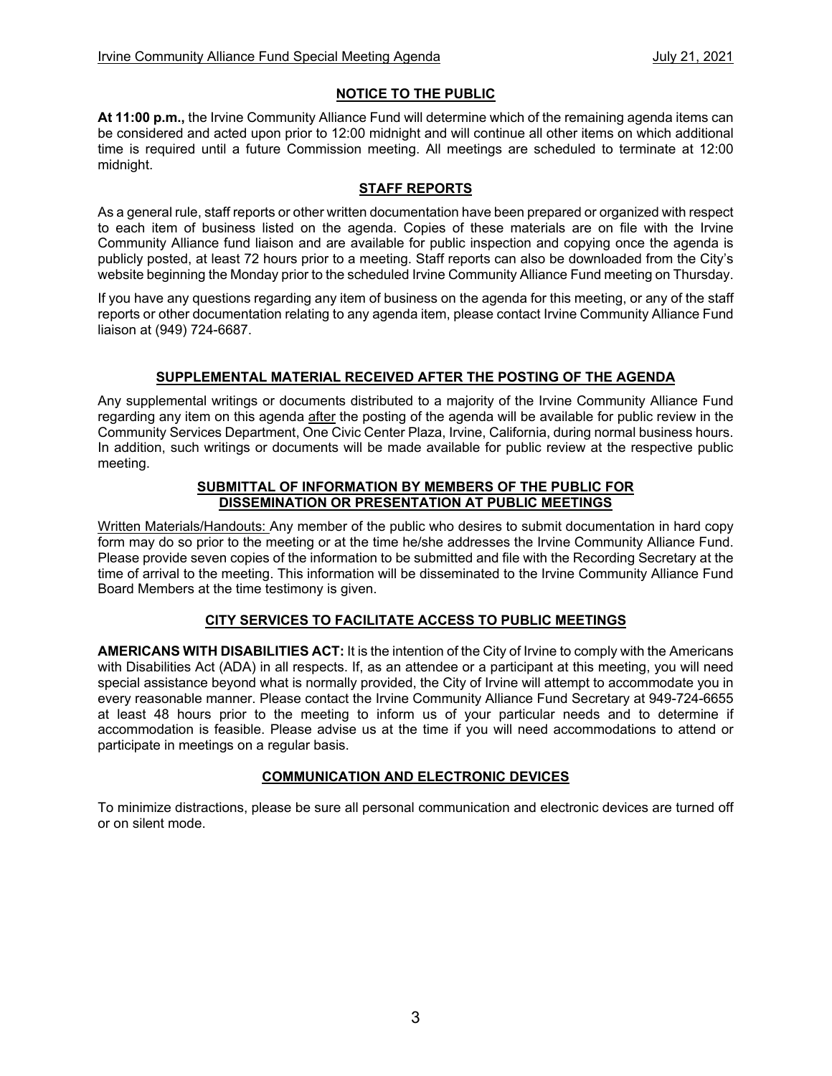#### **NOTICE TO THE PUBLIC**

**At 11:00 p.m.,** the Irvine Community Alliance Fund will determine which of the remaining agenda items can be considered and acted upon prior to 12:00 midnight and will continue all other items on which additional time is required until a future Commission meeting. All meetings are scheduled to terminate at 12:00 midnight.

#### **STAFF REPORTS**

As a general rule, staff reports or other written documentation have been prepared or organized with respect to each item of business listed on the agenda. Copies of these materials are on file with the Irvine Community Alliance fund liaison and are available for public inspection and copying once the agenda is publicly posted, at least 72 hours prior to a meeting. Staff reports can also be downloaded from the City's website beginning the Monday prior to the scheduled Irvine Community Alliance Fund meeting on Thursday.

If you have any questions regarding any item of business on the agenda for this meeting, or any of the staff reports or other documentation relating to any agenda item, please contact Irvine Community Alliance Fund liaison at (949) 724-6687.

#### **SUPPLEMENTAL MATERIAL RECEIVED AFTER THE POSTING OF THE AGENDA**

Any supplemental writings or documents distributed to a majority of the Irvine Community Alliance Fund regarding any item on this agenda after the posting of the agenda will be available for public review in the Community Services Department, One Civic Center Plaza, Irvine, California, during normal business hours. In addition, such writings or documents will be made available for public review at the respective public meeting.

#### **SUBMITTAL OF INFORMATION BY MEMBERS OF THE PUBLIC FOR DISSEMINATION OR PRESENTATION AT PUBLIC MEETINGS**

Written Materials/Handouts: Any member of the public who desires to submit documentation in hard copy form may do so prior to the meeting or at the time he/she addresses the Irvine Community Alliance Fund. Please provide seven copies of the information to be submitted and file with the Recording Secretary at the time of arrival to the meeting. This information will be disseminated to the Irvine Community Alliance Fund Board Members at the time testimony is given.

#### **CITY SERVICES TO FACILITATE ACCESS TO PUBLIC MEETINGS**

**AMERICANS WITH DISABILITIES ACT:** It is the intention of the City of Irvine to comply with the Americans with Disabilities Act (ADA) in all respects. If, as an attendee or a participant at this meeting, you will need special assistance beyond what is normally provided, the City of Irvine will attempt to accommodate you in every reasonable manner. Please contact the Irvine Community Alliance Fund Secretary at 949-724-6655 at least 48 hours prior to the meeting to inform us of your particular needs and to determine if accommodation is feasible. Please advise us at the time if you will need accommodations to attend or participate in meetings on a regular basis.

#### **COMMUNICATION AND ELECTRONIC DEVICES**

To minimize distractions, please be sure all personal communication and electronic devices are turned off or on silent mode.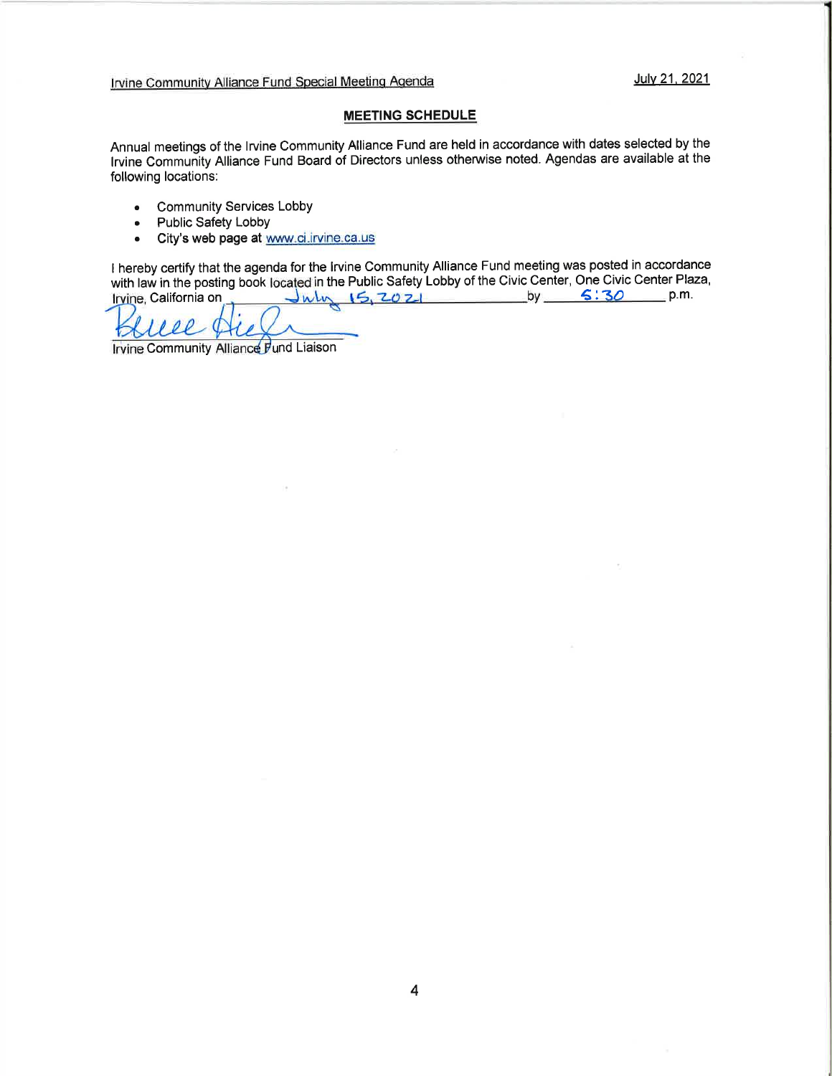Irvine Community Alliance Fund Special Meeting Agenda July 21, 2021

#### MEETING SCHEDULE

Annual meetings of the lrvine Community Alliance Fund are held in accordance with dates selected by the lrvine Commuñity Aliance Fund Board of Directors unless othenruise noted. Agendas are available at the following locations:

- . Community Services Lobby
- . Public Safety Lobby
- . City's web page at www.ci.irvine.ca.us

I hereby certify that the agenda for the lrvine Community Alliance Fund meeting was posted in accordance with law in the posting book located in the Public Safety Lobby of the Civic Center, One Civic Center Plaza,<br>Irvine, California on World (5, 2021 by 5:30 p.m.  $Juhx$   $15, 20$   $21$  by  $5.30$  p.m.

Т.

Irvine Community Alliance Fund Liaison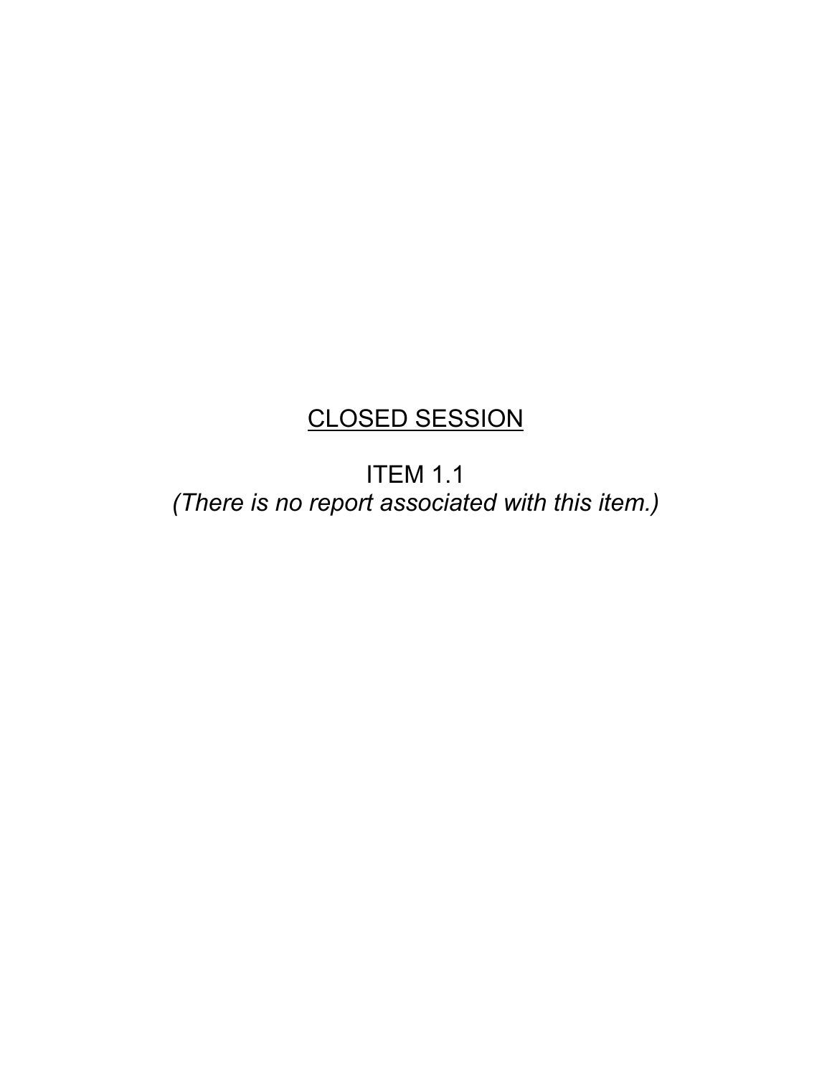# CLOSED SESSION

ITEM 1.1 *(There is no report associated with this item.)*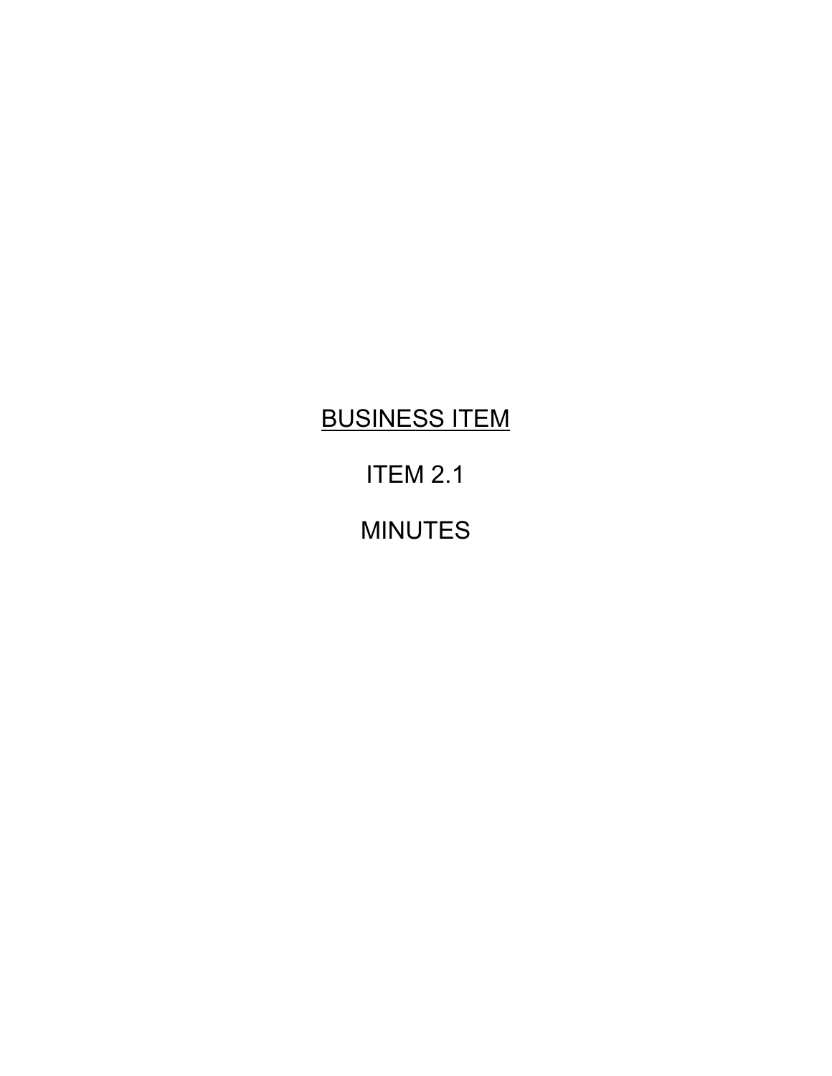# BUSINESS ITEM

# ITEM 2.1

# MINUTES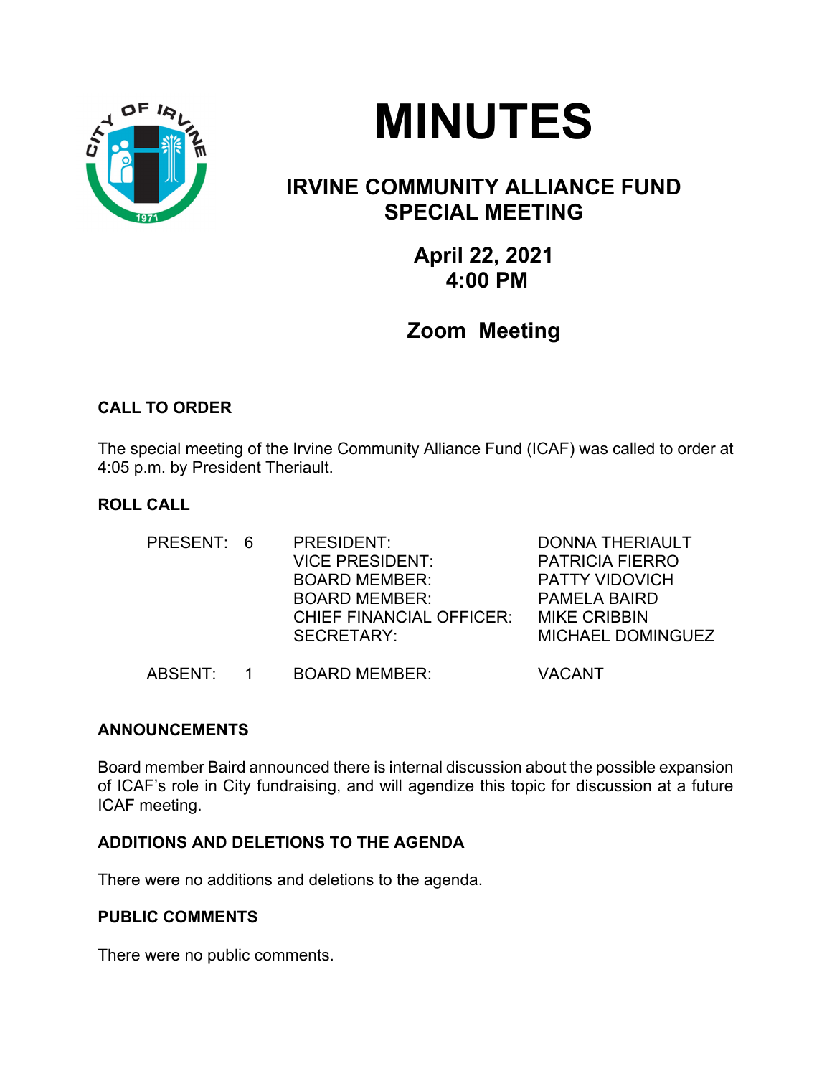

# **MINUTES**

## **IRVINE COMMUNITY ALLIANCE FUND SPECIAL MEETING**

### **April 22, 2021 4:00 PM**

## **Zoom Meeting**

#### **CALL TO ORDER**

The special meeting of the Irvine Community Alliance Fund (ICAF) was called to order at 4:05 p.m. by President Theriault.

#### **ROLL CALL**

| PRESENT: 6 | PRESIDENT:<br><b>VICE PRESIDENT:</b><br><b>BOARD MEMBER:</b><br><b>BOARD MEMBER:</b><br><b>CHIEF FINANCIAL OFFICER:</b><br><b>SECRETARY:</b> | <b>DONNA THERIAULT</b><br><b>PATRICIA FIERRO</b><br><b>PATTY VIDOVICH</b><br>PAMELA BAIRD<br><b>MIKE CRIBBIN</b><br>MICHAEL DOMINGUEZ |
|------------|----------------------------------------------------------------------------------------------------------------------------------------------|---------------------------------------------------------------------------------------------------------------------------------------|
| ABSENT:    | <b>BOARD MEMBER:</b>                                                                                                                         | VACANT                                                                                                                                |

#### **ANNOUNCEMENTS**

Board member Baird announced there is internal discussion about the possible expansion of ICAF's role in City fundraising, and will agendize this topic for discussion at a future ICAF meeting.

#### **ADDITIONS AND DELETIONS TO THE AGENDA**

There were no additions and deletions to the agenda.

#### **PUBLIC COMMENTS**

There were no public comments.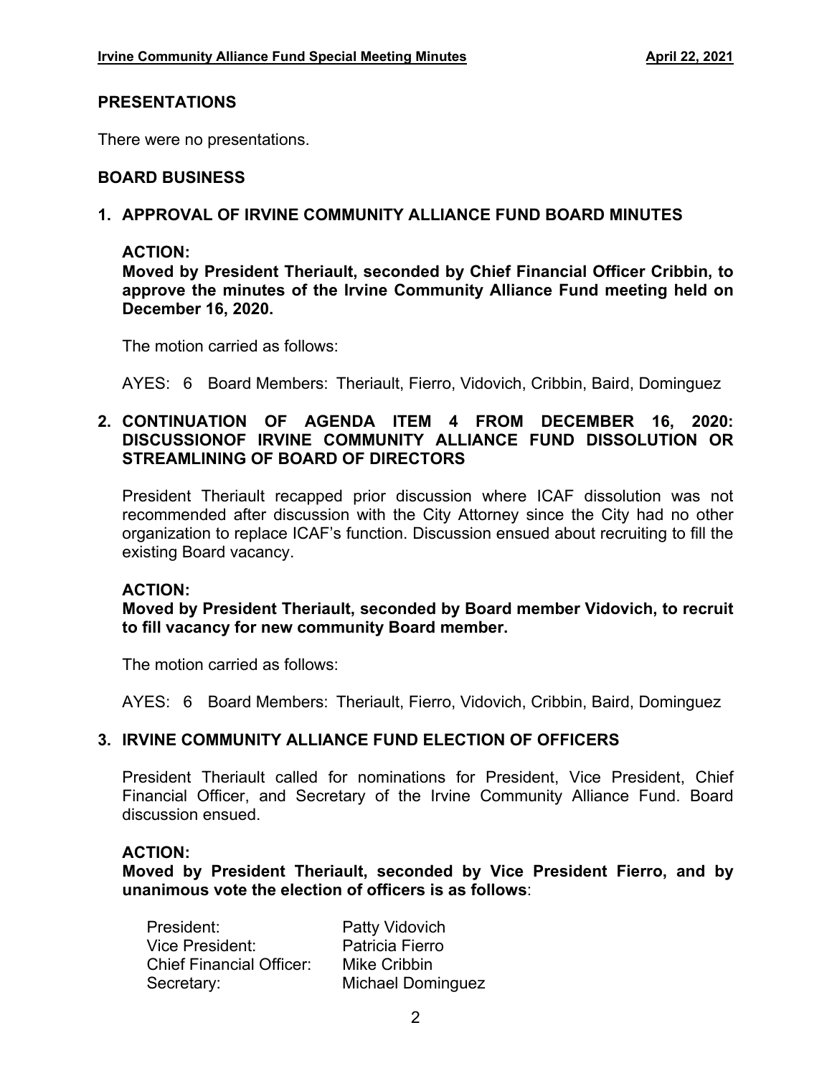#### **PRESENTATIONS**

There were no presentations.

#### **BOARD BUSINESS**

#### **1. APPROVAL OF IRVINE COMMUNITY ALLIANCE FUND BOARD MINUTES**

#### **ACTION:**

**Moved by President Theriault, seconded by Chief Financial Officer Cribbin, to approve the minutes of the Irvine Community Alliance Fund meeting held on December 16, 2020.**

The motion carried as follows:

AYES: 6 Board Members: Theriault, Fierro, Vidovich, Cribbin, Baird, Dominguez

#### **2. CONTINUATION OF AGENDA ITEM 4 FROM DECEMBER 16, 2020: DISCUSSIONOF IRVINE COMMUNITY ALLIANCE FUND DISSOLUTION OR STREAMLINING OF BOARD OF DIRECTORS**

President Theriault recapped prior discussion where ICAF dissolution was not recommended after discussion with the City Attorney since the City had no other organization to replace ICAF's function. Discussion ensued about recruiting to fill the existing Board vacancy.

#### **ACTION:**

**Moved by President Theriault, seconded by Board member Vidovich, to recruit to fill vacancy for new community Board member.** 

The motion carried as follows:

AYES: 6 Board Members: Theriault, Fierro, Vidovich, Cribbin, Baird, Dominguez

#### **3. IRVINE COMMUNITY ALLIANCE FUND ELECTION OF OFFICERS**

President Theriault called for nominations for President, Vice President, Chief Financial Officer, and Secretary of the Irvine Community Alliance Fund. Board discussion ensued.

#### **ACTION:**

**Moved by President Theriault, seconded by Vice President Fierro, and by unanimous vote the election of officers is as follows**:

| President:                      | Patty Vidovich           |
|---------------------------------|--------------------------|
| Vice President:                 | Patricia Fierro          |
| <b>Chief Financial Officer:</b> | Mike Cribbin             |
| Secretary:                      | <b>Michael Dominguez</b> |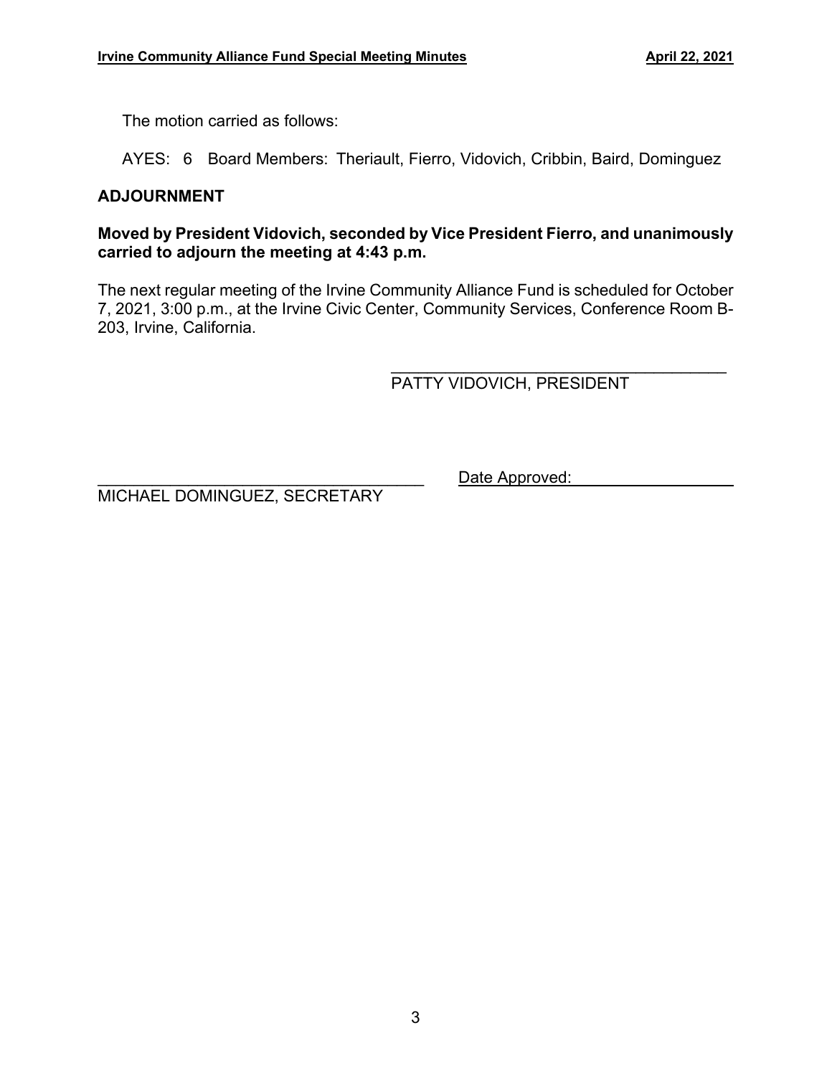The motion carried as follows:

AYES: 6 Board Members: Theriault, Fierro, Vidovich, Cribbin, Baird, Dominguez

#### **ADJOURNMENT**

#### **Moved by President Vidovich, seconded by Vice President Fierro, and unanimously carried to adjourn the meeting at 4:43 p.m.**

The next regular meeting of the Irvine Community Alliance Fund is scheduled for October 7, 2021, 3:00 p.m., at the Irvine Civic Center, Community Services, Conference Room B-203, Irvine, California.

 $\overline{\phantom{a}}$ PATTY VIDOVICH, PRESIDENT

Date Approved:

MICHAEL DOMINGUEZ, SECRETARY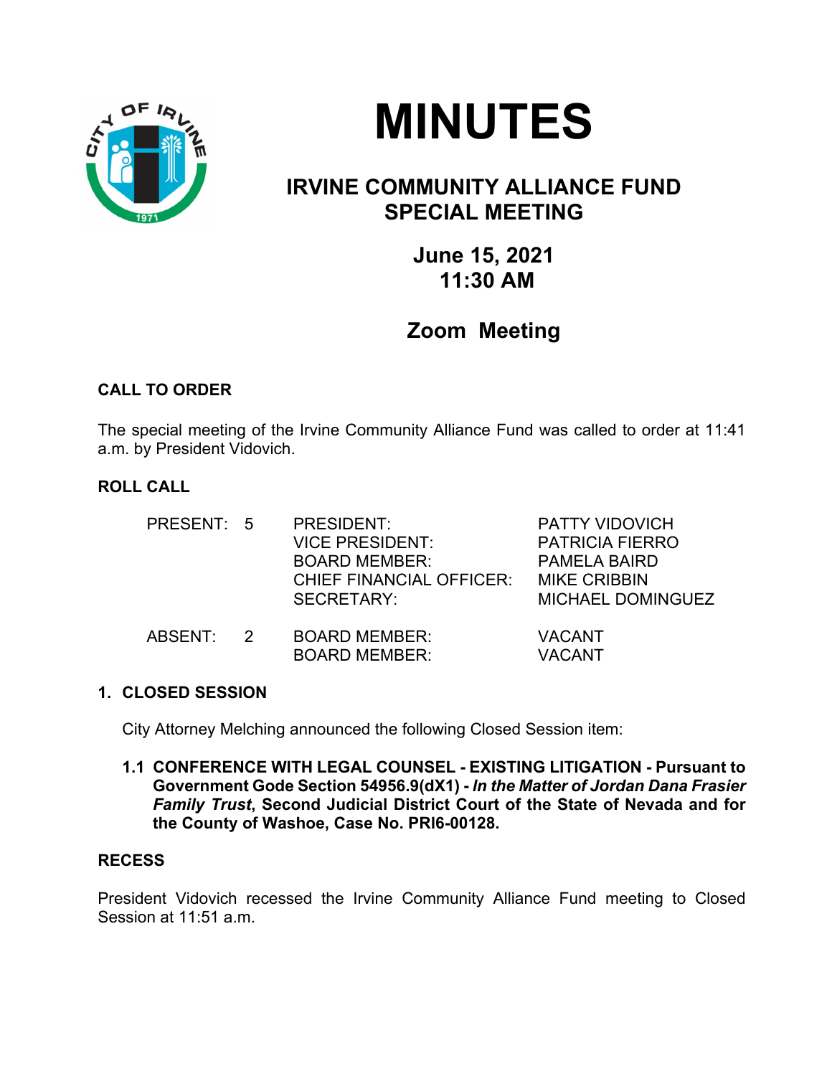



## **IRVINE COMMUNITY ALLIANCE FUND SPECIAL MEETING**

**June 15, 2021 11:30 AM** 

## **Zoom Meeting**

#### **CALL TO ORDER**

The special meeting of the Irvine Community Alliance Fund was called to order at 11:41 a.m. by President Vidovich.

#### **ROLL CALL**

| PRESENT: 5 |               | PRESIDENT:<br><b>VICE PRESIDENT:</b><br><b>BOARD MEMBER:</b><br><b>CHIEF FINANCIAL OFFICER:</b><br>SECRETARY: | <b>PATTY VIDOVICH</b><br><b>PATRICIA FIERRO</b><br><b>PAMELA BAIRD</b><br><b>MIKE CRIBBIN</b><br><b>MICHAEL DOMINGUEZ</b> |
|------------|---------------|---------------------------------------------------------------------------------------------------------------|---------------------------------------------------------------------------------------------------------------------------|
| ABSENT:    | $\mathcal{P}$ | <b>BOARD MEMBER:</b><br><b>BOARD MEMBER:</b>                                                                  | <b>VACANT</b><br><b>VACANT</b>                                                                                            |

#### **1. CLOSED SESSION**

City Attorney Melching announced the following Closed Session item:

**1.1 CONFERENCE WITH LEGAL COUNSEL - EXISTING LITIGATION - Pursuant to Government Gode Section 54956.9(dX1) -** *ln the Matter of Jordan Dana Frasier Family Trust***, Second Judicial District Court of the State of Nevada and for the County of Washoe, Case No. PRl6-00128.** 

#### **RECESS**

President Vidovich recessed the Irvine Community Alliance Fund meeting to Closed Session at 11:51 a.m.